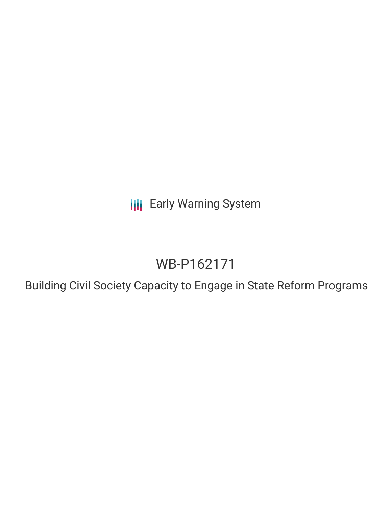**III** Early Warning System

# WB-P162171

Building Civil Society Capacity to Engage in State Reform Programs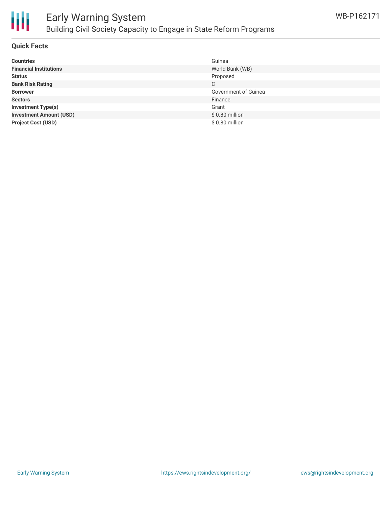

## Early Warning System Building Civil Society Capacity to Engage in State Reform Programs

#### **Quick Facts**

| <b>Countries</b>               | Guinea               |
|--------------------------------|----------------------|
| <b>Financial Institutions</b>  | World Bank (WB)      |
| <b>Status</b>                  | Proposed             |
| <b>Bank Risk Rating</b>        | C                    |
| <b>Borrower</b>                | Government of Guinea |
| <b>Sectors</b>                 | Finance              |
| <b>Investment Type(s)</b>      | Grant                |
| <b>Investment Amount (USD)</b> | \$0.80 million       |
| <b>Project Cost (USD)</b>      | \$0.80 million       |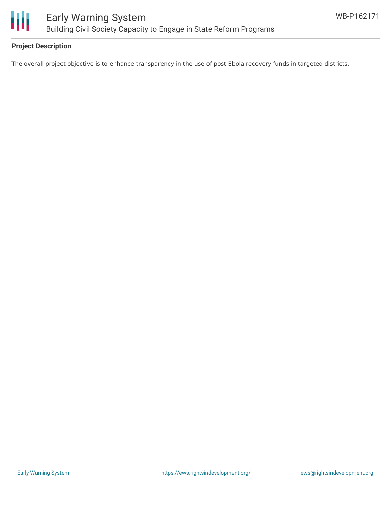

#### **Project Description**

The overall project objective is to enhance transparency in the use of post-Ebola recovery funds in targeted districts.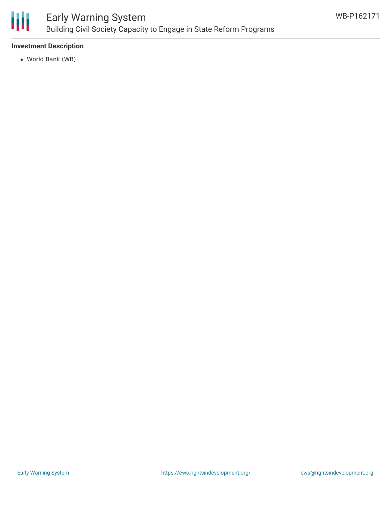

#### **Investment Description**

World Bank (WB)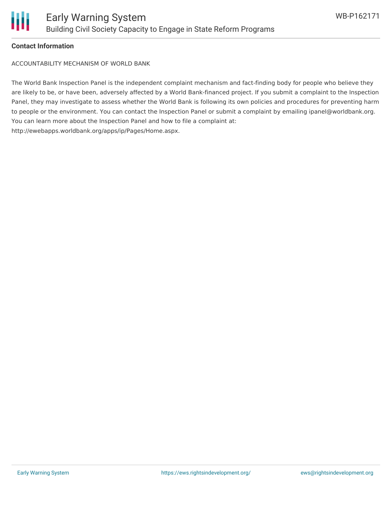

#### **Contact Information**

ACCOUNTABILITY MECHANISM OF WORLD BANK

The World Bank Inspection Panel is the independent complaint mechanism and fact-finding body for people who believe they are likely to be, or have been, adversely affected by a World Bank-financed project. If you submit a complaint to the Inspection Panel, they may investigate to assess whether the World Bank is following its own policies and procedures for preventing harm to people or the environment. You can contact the Inspection Panel or submit a complaint by emailing ipanel@worldbank.org. You can learn more about the Inspection Panel and how to file a complaint at: http://ewebapps.worldbank.org/apps/ip/Pages/Home.aspx.